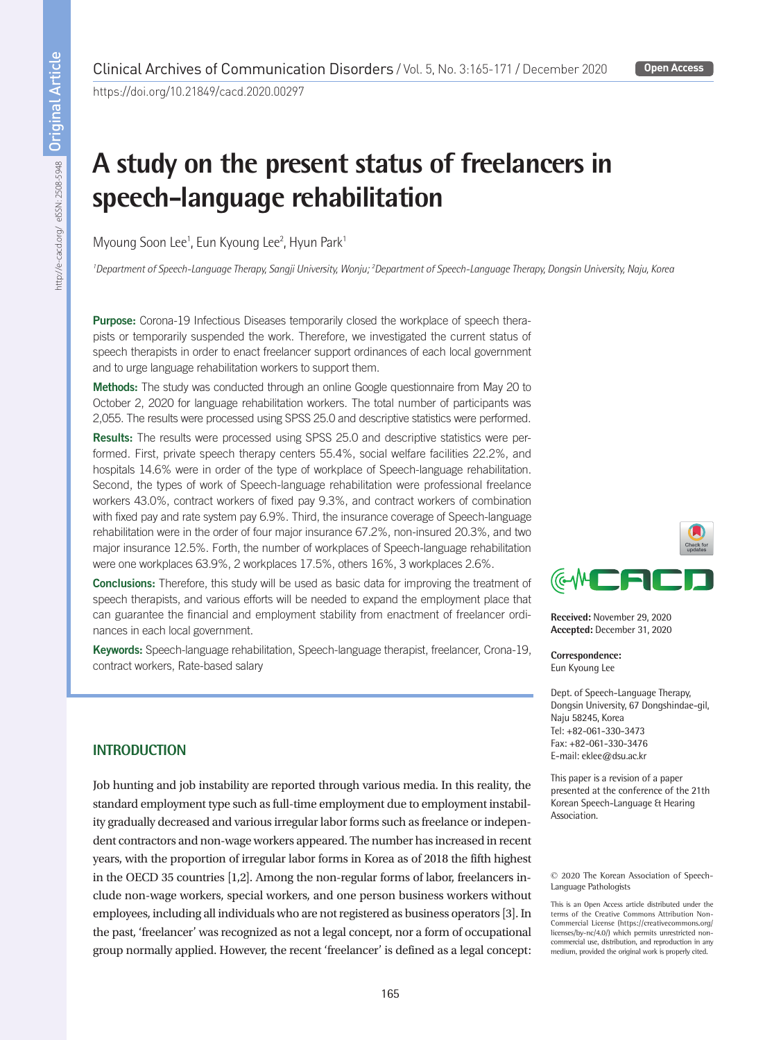https://doi.org/10.21849/cacd.2020.00297

# **A study on the present status of freelancers in speech-language rehabilitation**

Myoung Soon Lee<sup>1</sup>, Eun Kyoung Lee<sup>2</sup>, Hyun Park<sup>1</sup>

<sup>1</sup>Department of Speech-Language Therapy, Sangji University, Wonju; <sup>2</sup>Department of Speech-Language Therapy, Dongsin University, Naju, Korec

Purpose: Corona-19 Infectious Diseases temporarily closed the workplace of speech therapists or temporarily suspended the work. Therefore, we investigated the current status of speech therapists in order to enact freelancer support ordinances of each local government and to urge language rehabilitation workers to support them.

Methods: The study was conducted through an online Google questionnaire from May 20 to October 2, 2020 for language rehabilitation workers. The total number of participants was 2,055. The results were processed using SPSS 25.0 and descriptive statistics were performed.

Results: The results were processed using SPSS 25.0 and descriptive statistics were performed. First, private speech therapy centers 55.4%, social welfare facilities 22.2%, and hospitals 14.6% were in order of the type of workplace of Speech-language rehabilitation. Second, the types of work of Speech-language rehabilitation were professional freelance workers 43.0%, contract workers of fixed pay 9.3%, and contract workers of combination with fixed pay and rate system pay 6.9%. Third, the insurance coverage of Speech-language rehabilitation were in the order of four major insurance 67.2%, non-insured 20.3%, and two major insurance 12.5%. Forth, the number of workplaces of Speech-language rehabilitation were one workplaces 63.9%, 2 workplaces 17.5%, others 16%, 3 workplaces 2.6%.

Conclusions: Therefore, this study will be used as basic data for improving the treatment of speech therapists, and various efforts will be needed to expand the employment place that can guarantee the financial and employment stability from enactment of freelancer ordinances in each local government.

Keywords: Speech-language rehabilitation, Speech-language therapist, freelancer, Crona-19, contract workers, Rate-based salary



Job hunting and job instability are reported through various media. In this reality, the standard employment type such as full-time employment due to employment instability gradually decreased and various irregular labor forms such as freelance or independent contractors and non-wage workers appeared. The number has increased in recent years, with the proportion of irregular labor forms in Korea as of 2018 the fifth highest in the OECD 35 countries [1,2]. Among the non-regular forms of labor, freelancers include non-wage workers, special workers, and one person business workers without employees, including all individuals who are not registered as business operators [3]. In the past, 'freelancer' was recognized as not a legal concept, nor a form of occupational group normally applied. However, the recent 'freelancer' is defined as a legal concept:



**Received:** November 29, 2020 **Accepted:** December 31, 2020

**Correspondence:** Eun Kyoung Lee

Dept. of Speech-Language Therapy, Dongsin University, 67 Dongshindae-gil, Naju 58245, Korea Tel: +82-061-330-3473 Fax: +82-061-330-3476 E-mail: eklee@dsu.ac.kr

This paper is a revision of a paper presented at the conference of the 21th Korean Speech-Language & Hearing Association.

#### © 2020 The Korean Association of Speech-Language Pathologists

This is an Open Access article distributed under the terms of the Creative Commons Attribution Non-Commercial License (https://creativecommons.org/ licenses/by-nc/4.0/) which permits unrestricted noncommercial use, distribution, and reproduction in any medium, provided the original work is properly cited.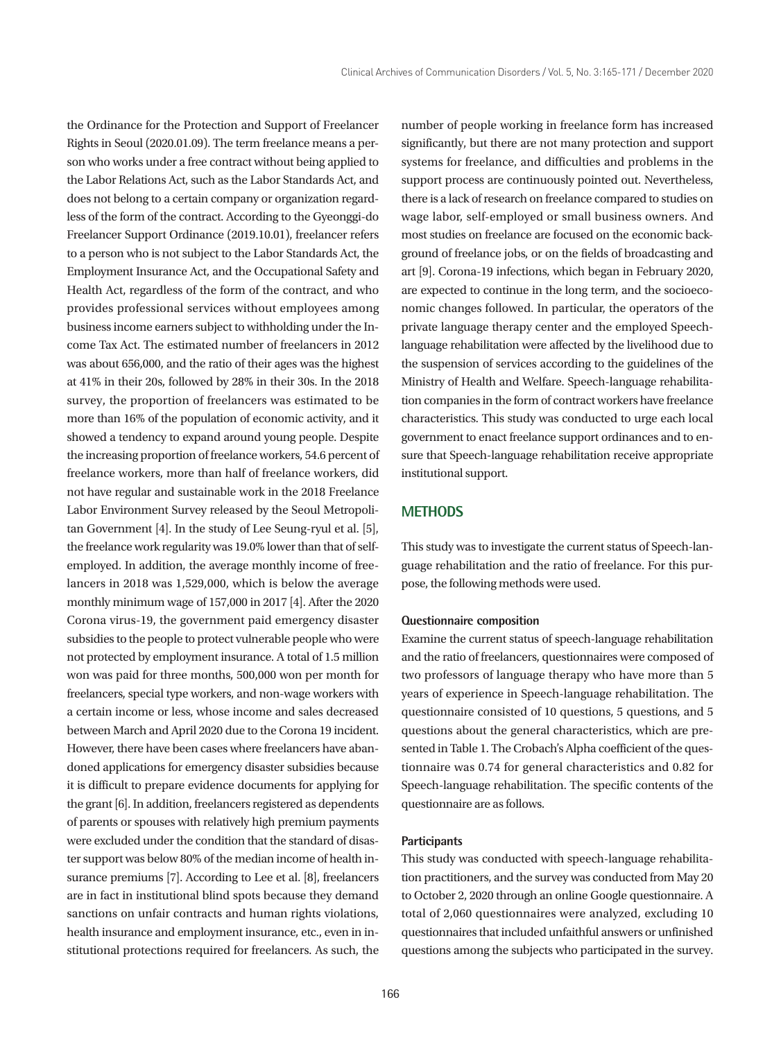the Ordinance for the Protection and Support of Freelancer Rights in Seoul (2020.01.09). The term freelance means a person who works under a free contract without being applied to the Labor Relations Act, such as the Labor Standards Act, and does not belong to a certain company or organization regardless of the form of the contract. According to the Gyeonggi-do Freelancer Support Ordinance (2019.10.01), freelancer refers to a person who is not subject to the Labor Standards Act, the Employment Insurance Act, and the Occupational Safety and Health Act, regardless of the form of the contract, and who provides professional services without employees among business income earners subject to withholding under the Income Tax Act. The estimated number of freelancers in 2012 was about 656,000, and the ratio of their ages was the highest at 41% in their 20s, followed by 28% in their 30s. In the 2018 survey, the proportion of freelancers was estimated to be more than 16% of the population of economic activity, and it showed a tendency to expand around young people. Despite the increasing proportion of freelance workers, 54.6 percent of freelance workers, more than half of freelance workers, did not have regular and sustainable work in the 2018 Freelance Labor Environment Survey released by the Seoul Metropolitan Government [4]. In the study of Lee Seung-ryul et al. [5], the freelance work regularity was 19.0% lower than that of selfemployed. In addition, the average monthly income of freelancers in 2018 was 1,529,000, which is below the average monthly minimum wage of 157,000 in 2017 [4]. After the 2020 Corona virus-19, the government paid emergency disaster subsidies to the people to protect vulnerable people who were not protected by employment insurance. A total of 1.5 million won was paid for three months, 500,000 won per month for freelancers, special type workers, and non-wage workers with a certain income or less, whose income and sales decreased between March and April 2020 due to the Corona 19 incident. However, there have been cases where freelancers have abandoned applications for emergency disaster subsidies because it is difficult to prepare evidence documents for applying for the grant [6]. In addition, freelancers registered as dependents of parents or spouses with relatively high premium payments were excluded under the condition that the standard of disaster support was below 80% of the median income of health insurance premiums [7]. According to Lee et al. [8], freelancers are in fact in institutional blind spots because they demand sanctions on unfair contracts and human rights violations, health insurance and employment insurance, etc., even in institutional protections required for freelancers. As such, the

number of people working in freelance form has increased significantly, but there are not many protection and support systems for freelance, and difficulties and problems in the support process are continuously pointed out. Nevertheless, there is a lack of research on freelance compared to studies on wage labor, self-employed or small business owners. And most studies on freelance are focused on the economic background of freelance jobs, or on the fields of broadcasting and art [9]. Corona-19 infections, which began in February 2020, are expected to continue in the long term, and the socioeconomic changes followed. In particular, the operators of the private language therapy center and the employed Speechlanguage rehabilitation were affected by the livelihood due to the suspension of services according to the guidelines of the Ministry of Health and Welfare. Speech-language rehabilitation companies in the form of contract workers have freelance characteristics. This study was conducted to urge each local government to enact freelance support ordinances and to ensure that Speech-language rehabilitation receive appropriate institutional support.

# **METHODS**

This study was to investigate the current status of Speech-language rehabilitation and the ratio of freelance. For this purpose, the following methods were used.

#### **Questionnaire composition**

Examine the current status of speech-language rehabilitation and the ratio of freelancers, questionnaires were composed of two professors of language therapy who have more than 5 years of experience in Speech-language rehabilitation. The questionnaire consisted of 10 questions, 5 questions, and 5 questions about the general characteristics, which are presented in Table 1. The Crobach's Alpha coefficient of the questionnaire was 0.74 for general characteristics and 0.82 for Speech-language rehabilitation. The specific contents of the questionnaire are as follows.

## **Participants**

This study was conducted with speech-language rehabilitation practitioners, and the survey was conducted from May 20 to October 2, 2020 through an online Google questionnaire. A total of 2,060 questionnaires were analyzed, excluding 10 questionnaires that included unfaithful answers or unfinished questions among the subjects who participated in the survey.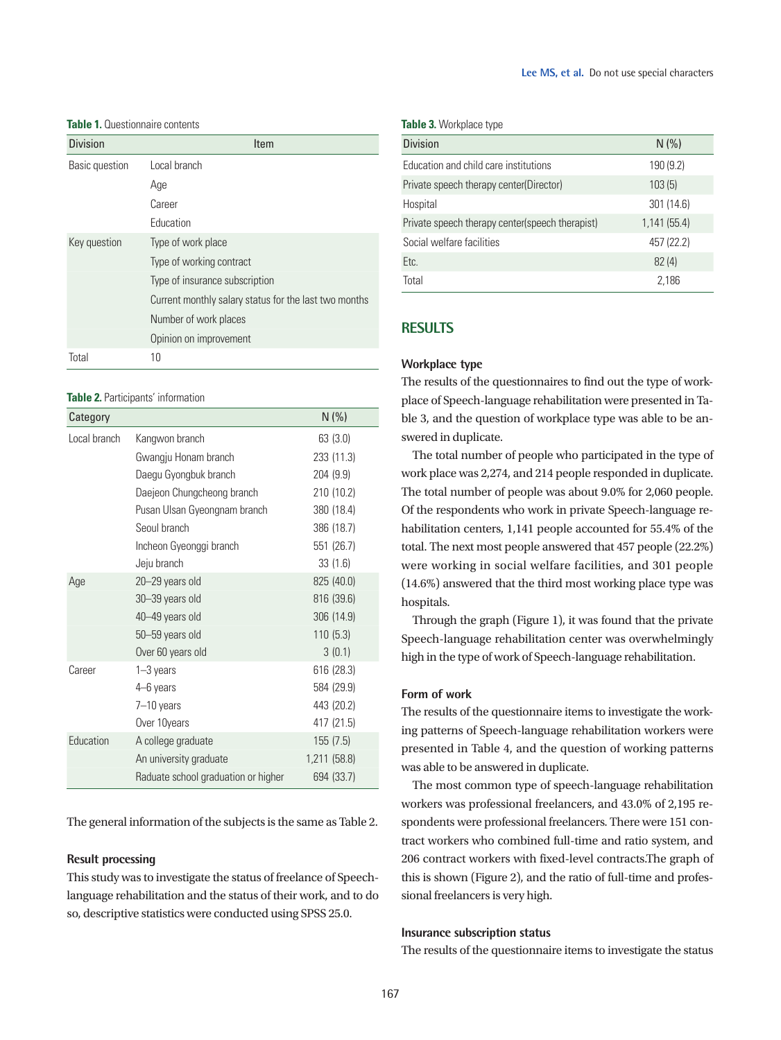### **Table 1.** Questionnaire contents

| <b>Division</b> | Item                                                  |
|-----------------|-------------------------------------------------------|
| Basic question  | Local branch                                          |
|                 | Age                                                   |
|                 | Career                                                |
|                 | Education                                             |
| Key question    | Type of work place                                    |
|                 | Type of working contract                              |
|                 | Type of insurance subscription                        |
|                 | Current monthly salary status for the last two months |
|                 | Number of work places                                 |
|                 | Opinion on improvement                                |
| Total           | 10                                                    |

#### **Table 2.** Participants' information

| Category     |                                     | N(% )        |
|--------------|-------------------------------------|--------------|
| Local branch | Kangwon branch                      | 63(3.0)      |
|              | Gwangju Honam branch                | 233 (11.3)   |
|              | Daegu Gyongbuk branch               | 204 (9.9)    |
|              | Daejeon Chungcheong branch          | 210 (10.2)   |
|              | Pusan Ulsan Gyeongnam branch        | 380 (18.4)   |
|              | Seoul branch                        | 386 (18.7)   |
|              | Incheon Gyeonggi branch             | 551 (26.7)   |
|              | Jeju branch                         | 33(1.6)      |
| Age          | 20-29 years old                     | 825 (40.0)   |
|              | 30-39 years old                     | 816 (39.6)   |
|              | 40-49 years old                     | 306 (14.9)   |
|              | 50–59 years old                     | 110(5.3)     |
|              | Over 60 years old                   | 3(0.1)       |
| Career       | $1 - 3$ years                       | 616 (28.3)   |
|              | 4–6 years                           | 584 (29.9)   |
|              | $7 - 10$ years                      | 443 (20.2)   |
|              | Over 10years                        | 417 (21.5)   |
| Education    | A college graduate                  | 155(7.5)     |
|              | An university graduate              | 1,211 (58.8) |
|              | Raduate school graduation or higher | 694 (33.7)   |

The general information of the subjects is the same as Table 2.

#### **Result processing**

This study was to investigate the status of freelance of Speechlanguage rehabilitation and the status of their work, and to do so, descriptive statistics were conducted using SPSS 25.0.

**Table 3.** Workplace type

| <b>Division</b>                                 | N(% )       |
|-------------------------------------------------|-------------|
| Education and child care institutions           | 190 (9.2)   |
| Private speech therapy center(Director)         | 103(5)      |
| Hospital                                        | 301 (14.6)  |
| Private speech therapy center(speech therapist) | 1,141(55.4) |
| Social welfare facilities                       | 457 (22.2)  |
| Etc.                                            | 82(4)       |
| Total                                           | 2,186       |

# **RESULTS**

# **Workplace type**

The results of the questionnaires to find out the type of workplace of Speech-language rehabilitation were presented in Table 3, and the question of workplace type was able to be answered in duplicate.

The total number of people who participated in the type of work place was 2,274, and 214 people responded in duplicate. The total number of people was about 9.0% for 2,060 people. Of the respondents who work in private Speech-language rehabilitation centers, 1,141 people accounted for 55.4% of the total. The next most people answered that 457 people (22.2%) were working in social welfare facilities, and 301 people (14.6%) answered that the third most working place type was hospitals.

Through the graph (Figure 1), it was found that the private Speech-language rehabilitation center was overwhelmingly high in the type of work of Speech-language rehabilitation.

# **Form of work**

The results of the questionnaire items to investigate the working patterns of Speech-language rehabilitation workers were presented in Table 4, and the question of working patterns was able to be answered in duplicate.

The most common type of speech-language rehabilitation workers was professional freelancers, and 43.0% of 2,195 respondents were professional freelancers. There were 151 contract workers who combined full-time and ratio system, and 206 contract workers with fixed-level contracts.The graph of this is shown (Figure 2), and the ratio of full-time and professional freelancers is very high.

# **Insurance subscription status**

The results of the questionnaire items to investigate the status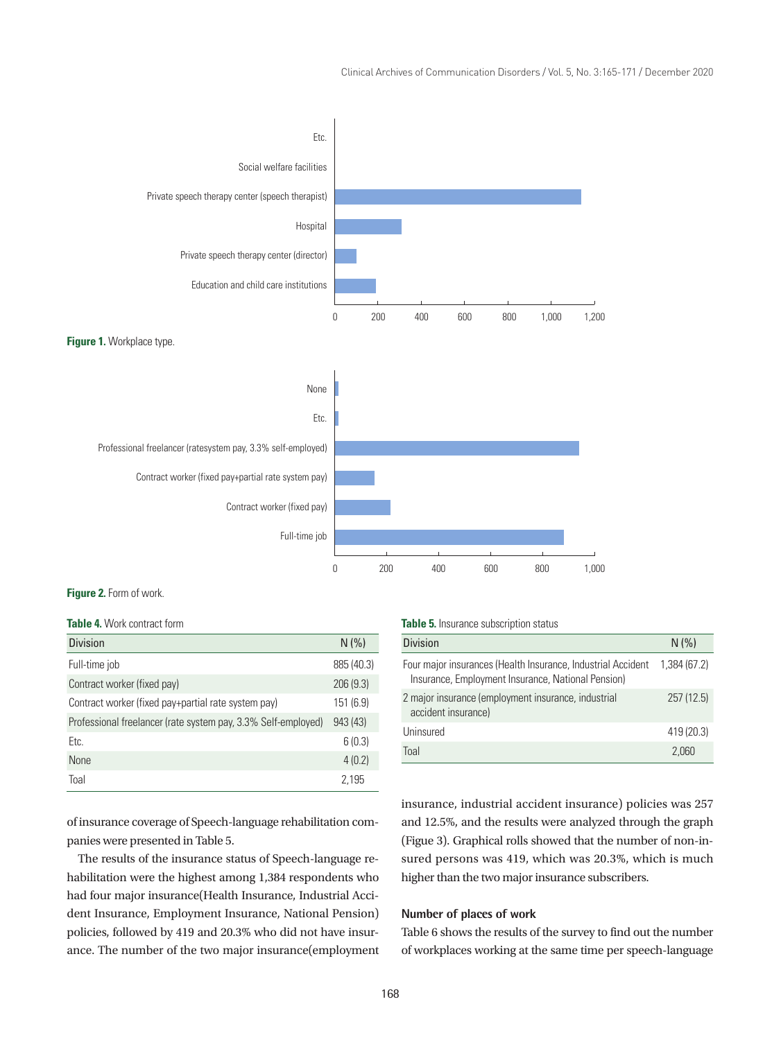

### **Figure 2.** Form of work.

#### **Table 4.** Work contract form

| <b>Division</b>                                               | N(% )      |
|---------------------------------------------------------------|------------|
| Full-time job                                                 | 885 (40.3) |
| Contract worker (fixed pay)                                   | 206(9.3)   |
| Contract worker (fixed pay+partial rate system pay)           | 151 (6.9)  |
| Professional freelancer (rate system pay, 3.3% Self-employed) | 943 (43)   |
| Etc.                                                          | 6(0.3)     |
| <b>None</b>                                                   | 4(0.2)     |
| Toal                                                          | 2,195      |

of insurance coverage of Speech-language rehabilitation companies were presented in Table 5.

The results of the insurance status of Speech-language rehabilitation were the highest among 1,384 respondents who had four major insurance(Health Insurance, Industrial Accident Insurance, Employment Insurance, National Pension) policies, followed by 419 and 20.3% who did not have insurance. The number of the two major insurance(employment **Table 5.** Insurance subscription status

| <b>Division</b>                                                                                                    | N(% )        |
|--------------------------------------------------------------------------------------------------------------------|--------------|
| Four major insurances (Health Insurance, Industrial Accident<br>Insurance, Employment Insurance, National Pension) | 1,384 (67.2) |
| 2 major insurance (employment insurance, industrial<br>accident insurance)                                         | 257(12.5)    |
| Uninsured                                                                                                          | 419 (20.3)   |
| Toal                                                                                                               | 2.060        |

insurance, industrial accident insurance) policies was 257 and 12.5%, and the results were analyzed through the graph (Figue 3). Graphical rolls showed that the number of non-insured persons was 419, which was 20.3%, which is much higher than the two major insurance subscribers.

# **Number of places of work**

Table 6 shows the results of the survey to find out the number of workplaces working at the same time per speech-language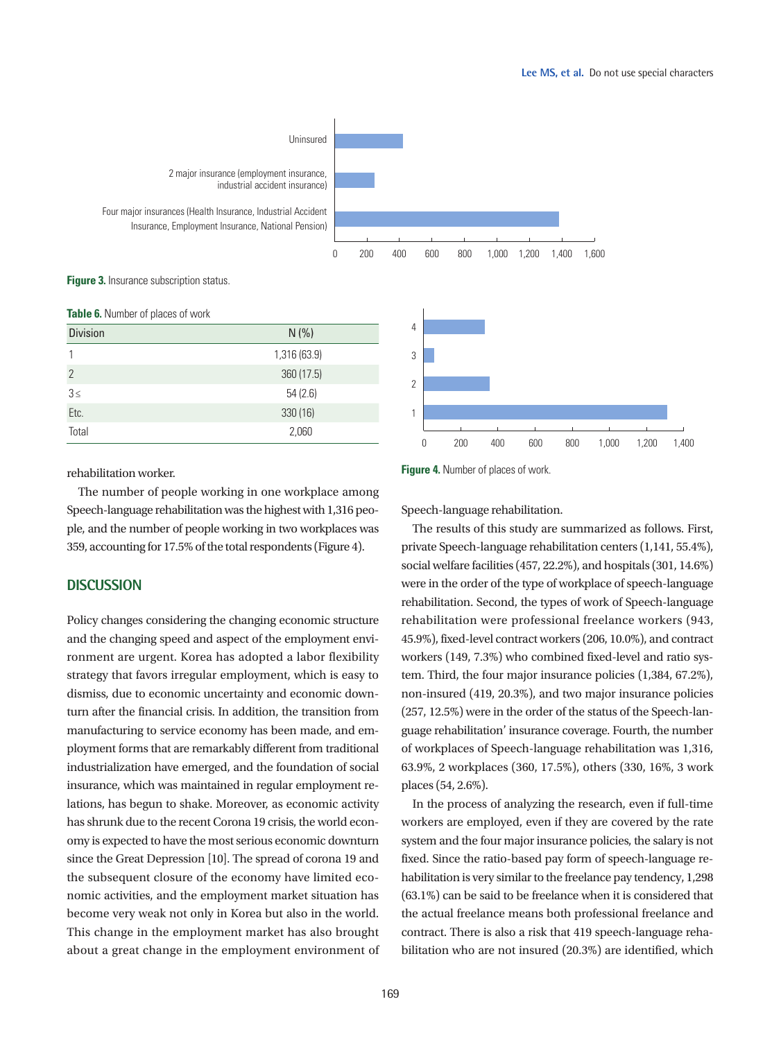

**Figure 3.** Insurance subscription status.

**Table 6.** Number of places of work

| <b>TWATE OF FRAME OF PROOF OF FIGHT</b> |              |  |
|-----------------------------------------|--------------|--|
| <b>Division</b>                         | N(% )        |  |
|                                         | 1,316 (63.9) |  |
| $\overline{2}$                          | 360 (17.5)   |  |
| $3 \leq$                                | 54(2.6)      |  |
| Etc.                                    | 330 (16)     |  |
| Total                                   | 2,060        |  |



#### rehabilitation worker.

The number of people working in one workplace among Speech-language rehabilitation was the highest with 1,316 people, and the number of people working in two workplaces was 359, accounting for 17.5% of the total respondents (Figure 4).

# **DISCUSSION**

Policy changes considering the changing economic structure and the changing speed and aspect of the employment environment are urgent. Korea has adopted a labor flexibility strategy that favors irregular employment, which is easy to dismiss, due to economic uncertainty and economic downturn after the financial crisis. In addition, the transition from manufacturing to service economy has been made, and employment forms that are remarkably different from traditional industrialization have emerged, and the foundation of social insurance, which was maintained in regular employment relations, has begun to shake. Moreover, as economic activity has shrunk due to the recent Corona 19 crisis, the world economy is expected to have the most serious economic downturn since the Great Depression [10]. The spread of corona 19 and the subsequent closure of the economy have limited economic activities, and the employment market situation has become very weak not only in Korea but also in the world. This change in the employment market has also brought about a great change in the employment environment of **Figure 4.** Number of places of work.

Speech-language rehabilitation.

The results of this study are summarized as follows. First, private Speech-language rehabilitation centers (1,141, 55.4%), social welfare facilities (457, 22.2%), and hospitals (301, 14.6%) were in the order of the type of workplace of speech-language rehabilitation. Second, the types of work of Speech-language rehabilitation were professional freelance workers (943, 45.9%), fixed-level contract workers (206, 10.0%), and contract workers (149, 7.3%) who combined fixed-level and ratio system. Third, the four major insurance policies (1,384, 67.2%), non-insured (419, 20.3%), and two major insurance policies (257, 12.5%) were in the order of the status of the Speech-language rehabilitation' insurance coverage. Fourth, the number of workplaces of Speech-language rehabilitation was 1,316, 63.9%, 2 workplaces (360, 17.5%), others (330, 16%, 3 work places (54, 2.6%).

In the process of analyzing the research, even if full-time workers are employed, even if they are covered by the rate system and the four major insurance policies, the salary is not fixed. Since the ratio-based pay form of speech-language rehabilitation is very similar to the freelance pay tendency, 1,298 (63.1%) can be said to be freelance when it is considered that the actual freelance means both professional freelance and contract. There is also a risk that 419 speech-language rehabilitation who are not insured (20.3%) are identified, which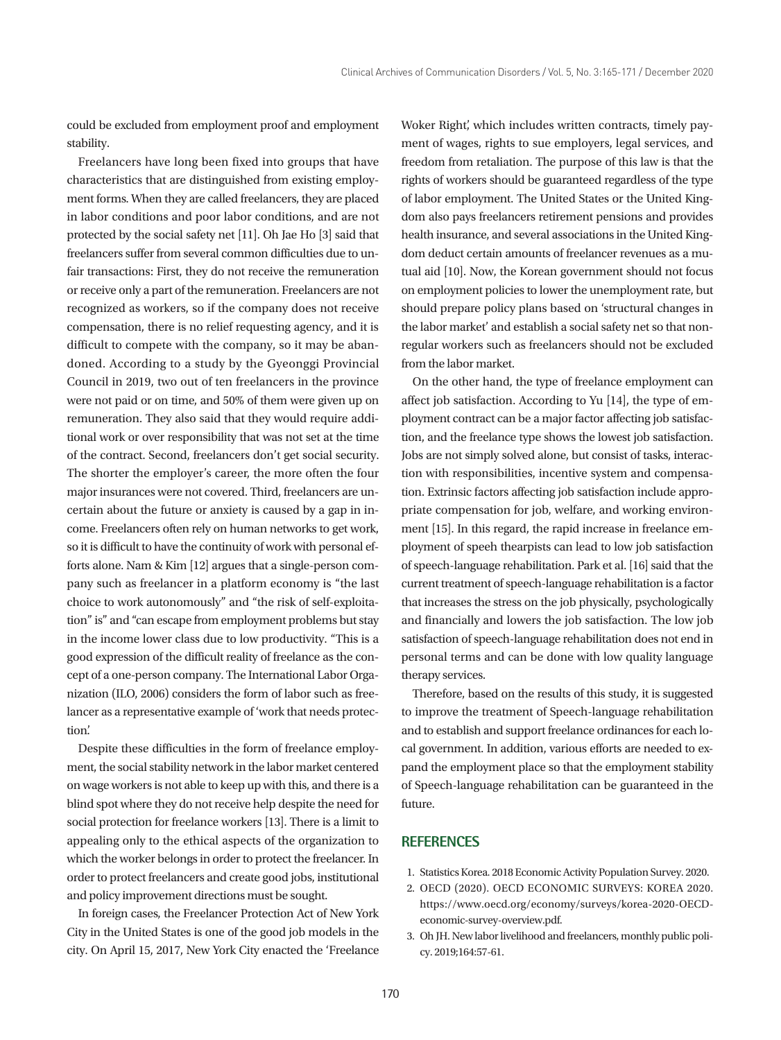could be excluded from employment proof and employment stability.

Freelancers have long been fixed into groups that have characteristics that are distinguished from existing employment forms. When they are called freelancers, they are placed in labor conditions and poor labor conditions, and are not protected by the social safety net [11]. Oh Jae Ho [3] said that freelancers suffer from several common difficulties due to unfair transactions: First, they do not receive the remuneration or receive only a part of the remuneration. Freelancers are not recognized as workers, so if the company does not receive compensation, there is no relief requesting agency, and it is difficult to compete with the company, so it may be abandoned. According to a study by the Gyeonggi Provincial Council in 2019, two out of ten freelancers in the province were not paid or on time, and 50% of them were given up on remuneration. They also said that they would require additional work or over responsibility that was not set at the time of the contract. Second, freelancers don't get social security. The shorter the employer's career, the more often the four major insurances were not covered. Third, freelancers are uncertain about the future or anxiety is caused by a gap in income. Freelancers often rely on human networks to get work, so it is difficult to have the continuity of work with personal efforts alone. Nam & Kim [12] argues that a single-person company such as freelancer in a platform economy is "the last choice to work autonomously" and "the risk of self-exploitation" is" and "can escape from employment problems but stay in the income lower class due to low productivity. "This is a good expression of the difficult reality of freelance as the concept of a one-person company. The International Labor Organization (ILO, 2006) considers the form of labor such as freelancer as a representative example of 'work that needs protection'.

Despite these difficulties in the form of freelance employment, the social stability network in the labor market centered on wage workers is not able to keep up with this, and there is a blind spot where they do not receive help despite the need for social protection for freelance workers [13]. There is a limit to appealing only to the ethical aspects of the organization to which the worker belongs in order to protect the freelancer. In order to protect freelancers and create good jobs, institutional and policy improvement directions must be sought.

In foreign cases, the Freelancer Protection Act of New York City in the United States is one of the good job models in the city. On April 15, 2017, New York City enacted the 'Freelance

Woker Right', which includes written contracts, timely payment of wages, rights to sue employers, legal services, and freedom from retaliation. The purpose of this law is that the rights of workers should be guaranteed regardless of the type of labor employment. The United States or the United Kingdom also pays freelancers retirement pensions and provides health insurance, and several associations in the United Kingdom deduct certain amounts of freelancer revenues as a mutual aid [10]. Now, the Korean government should not focus on employment policies to lower the unemployment rate, but should prepare policy plans based on 'structural changes in the labor market' and establish a social safety net so that nonregular workers such as freelancers should not be excluded from the labor market.

On the other hand, the type of freelance employment can affect job satisfaction. According to Yu [14], the type of employment contract can be a major factor affecting job satisfaction, and the freelance type shows the lowest job satisfaction. Jobs are not simply solved alone, but consist of tasks, interaction with responsibilities, incentive system and compensation. Extrinsic factors affecting job satisfaction include appropriate compensation for job, welfare, and working environment [15]. In this regard, the rapid increase in freelance employment of speeh thearpists can lead to low job satisfaction of speech-language rehabilitation. Park et al. [16] said that the current treatment of speech-language rehabilitation is a factor that increases the stress on the job physically, psychologically and financially and lowers the job satisfaction. The low job satisfaction of speech-language rehabilitation does not end in personal terms and can be done with low quality language therapy services.

Therefore, based on the results of this study, it is suggested to improve the treatment of Speech-language rehabilitation and to establish and support freelance ordinances for each local government. In addition, various efforts are needed to expand the employment place so that the employment stability of Speech-language rehabilitation can be guaranteed in the future.

# **REFERENCES**

- 1. Statistics Korea. 2018 Economic Activity Population Survey. 2020.
- 2. OECD (2020). OECD ECONOMIC SURVEYS: KOREA 2020. https://www.oecd.org/economy/surveys/korea-2020-OECDeconomic-survey-overview.pdf.
- 3. Oh JH. New labor livelihood and freelancers, monthly public policy. 2019;164:57-61.